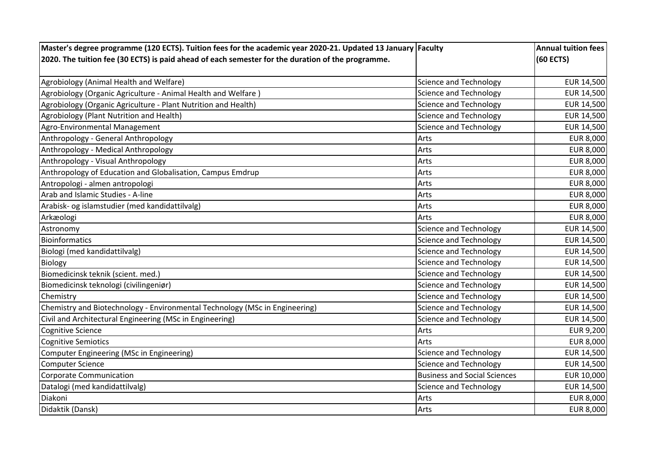| Master's degree programme (120 ECTS). Tuition fees for the academic year 2020-21. Updated 13 January Faculty |                                     | <b>Annual tuition fees</b> |
|--------------------------------------------------------------------------------------------------------------|-------------------------------------|----------------------------|
| 2020. The tuition fee (30 ECTS) is paid ahead of each semester for the duration of the programme.            |                                     | (60 ECTS)                  |
|                                                                                                              |                                     |                            |
| Agrobiology (Animal Health and Welfare)                                                                      | <b>Science and Technology</b>       | EUR 14,500                 |
| Agrobiology (Organic Agriculture - Animal Health and Welfare)                                                | <b>Science and Technology</b>       | EUR 14,500                 |
| Agrobiology (Organic Agriculture - Plant Nutrition and Health)                                               | <b>Science and Technology</b>       | EUR 14,500                 |
| Agrobiology (Plant Nutrition and Health)                                                                     | <b>Science and Technology</b>       | EUR 14,500                 |
| Agro-Environmental Management                                                                                | <b>Science and Technology</b>       | EUR 14,500                 |
| Anthropology - General Anthropology                                                                          | Arts                                | <b>EUR 8,000</b>           |
| Anthropology - Medical Anthropology                                                                          | Arts                                | EUR 8,000                  |
| Anthropology - Visual Anthropology                                                                           | Arts                                | <b>EUR 8,000</b>           |
| Anthropology of Education and Globalisation, Campus Emdrup                                                   | Arts                                | <b>EUR 8,000</b>           |
| Antropologi - almen antropologi                                                                              | Arts                                | <b>EUR 8,000</b>           |
| Arab and Islamic Studies - A-line                                                                            | Arts                                | <b>EUR 8,000</b>           |
| Arabisk- og islamstudier (med kandidattilvalg)                                                               | Arts                                | EUR 8,000                  |
| Arkæologi                                                                                                    | Arts                                | <b>EUR 8,000</b>           |
| Astronomy                                                                                                    | <b>Science and Technology</b>       | EUR 14,500                 |
| Bioinformatics                                                                                               | <b>Science and Technology</b>       | EUR 14,500                 |
| Biologi (med kandidattilvalg)                                                                                | <b>Science and Technology</b>       | EUR 14,500                 |
| <b>Biology</b>                                                                                               | <b>Science and Technology</b>       | EUR 14,500                 |
| Biomedicinsk teknik (scient. med.)                                                                           | <b>Science and Technology</b>       | EUR 14,500                 |
| Biomedicinsk teknologi (civilingeniør)                                                                       | <b>Science and Technology</b>       | EUR 14,500                 |
| Chemistry                                                                                                    | <b>Science and Technology</b>       | EUR 14,500                 |
| Chemistry and Biotechnology - Environmental Technology (MSc in Engineering)                                  | Science and Technology              | EUR 14,500                 |
| Civil and Architectural Engineering (MSc in Engineering)                                                     | <b>Science and Technology</b>       | EUR 14,500                 |
| Cognitive Science                                                                                            | Arts                                | EUR 9,200                  |
| <b>Cognitive Semiotics</b>                                                                                   | Arts                                | EUR 8,000                  |
| Computer Engineering (MSc in Engineering)                                                                    | <b>Science and Technology</b>       | EUR 14,500                 |
| Computer Science                                                                                             | <b>Science and Technology</b>       | EUR 14,500                 |
| Corporate Communication                                                                                      | <b>Business and Social Sciences</b> | EUR 10,000                 |
| Datalogi (med kandidattilvalg)                                                                               | <b>Science and Technology</b>       | EUR 14,500                 |
| Diakoni                                                                                                      | Arts                                | EUR 8,000                  |
| Didaktik (Dansk)                                                                                             | Arts                                | <b>EUR 8,000</b>           |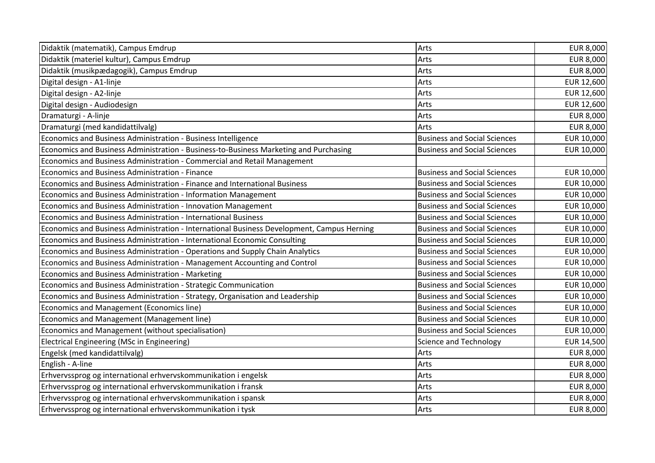| Didaktik (matematik), Campus Emdrup                                                        | Arts                                | <b>EUR 8,000</b> |
|--------------------------------------------------------------------------------------------|-------------------------------------|------------------|
| Didaktik (materiel kultur), Campus Emdrup                                                  | Arts                                | <b>EUR 8,000</b> |
| Didaktik (musikpædagogik), Campus Emdrup                                                   | Arts                                | <b>EUR 8,000</b> |
| Digital design - A1-linje                                                                  | Arts                                | EUR 12,600       |
| Digital design - A2-linje                                                                  | Arts                                | EUR 12,600       |
| Digital design - Audiodesign                                                               | Arts                                | EUR 12,600       |
| Dramaturgi - A-linje                                                                       | Arts                                | <b>EUR 8,000</b> |
| Dramaturgi (med kandidattilvalg)                                                           | Arts                                | EUR 8,000        |
| Economics and Business Administration - Business Intelligence                              | <b>Business and Social Sciences</b> | EUR 10,000       |
| Economics and Business Administration - Business-to-Business Marketing and Purchasing      | <b>Business and Social Sciences</b> | EUR 10,000       |
| Economics and Business Administration - Commercial and Retail Management                   |                                     |                  |
| Economics and Business Administration - Finance                                            | <b>Business and Social Sciences</b> | EUR 10,000       |
| Economics and Business Administration - Finance and International Business                 | <b>Business and Social Sciences</b> | EUR 10,000       |
| Economics and Business Administration - Information Management                             | <b>Business and Social Sciences</b> | EUR 10,000       |
| Economics and Business Administration - Innovation Management                              | <b>Business and Social Sciences</b> | EUR 10,000       |
| Economics and Business Administration - International Business                             | <b>Business and Social Sciences</b> | EUR 10,000       |
| Economics and Business Administration - International Business Development, Campus Herning | <b>Business and Social Sciences</b> | EUR 10,000       |
| Economics and Business Administration - International Economic Consulting                  | <b>Business and Social Sciences</b> | EUR 10,000       |
| Economics and Business Administration - Operations and Supply Chain Analytics              | <b>Business and Social Sciences</b> | EUR 10,000       |
| Economics and Business Administration - Management Accounting and Control                  | <b>Business and Social Sciences</b> | EUR 10,000       |
| Economics and Business Administration - Marketing                                          | <b>Business and Social Sciences</b> | EUR 10,000       |
| Economics and Business Administration - Strategic Communication                            | <b>Business and Social Sciences</b> | EUR 10,000       |
| Economics and Business Administration - Strategy, Organisation and Leadership              | <b>Business and Social Sciences</b> | EUR 10,000       |
| Economics and Management (Economics line)                                                  | <b>Business and Social Sciences</b> | EUR 10,000       |
| Economics and Management (Management line)                                                 | <b>Business and Social Sciences</b> | EUR 10,000       |
| Economics and Management (without specialisation)                                          | <b>Business and Social Sciences</b> | EUR 10,000       |
| Electrical Engineering (MSc in Engineering)                                                | <b>Science and Technology</b>       | EUR 14,500       |
| Engelsk (med kandidattilvalg)                                                              | Arts                                | <b>EUR 8,000</b> |
| English - A-line                                                                           | Arts                                | <b>EUR 8,000</b> |
| Erhvervssprog og international erhvervskommunikation i engelsk                             | Arts                                | <b>EUR 8,000</b> |
| Erhvervssprog og international erhvervskommunikation i fransk                              | Arts                                | <b>EUR 8,000</b> |
| Erhvervssprog og international erhvervskommunikation i spansk                              | Arts                                | EUR 8,000        |
| Erhvervssprog og international erhvervskommunikation i tysk                                | Arts                                | <b>EUR 8,000</b> |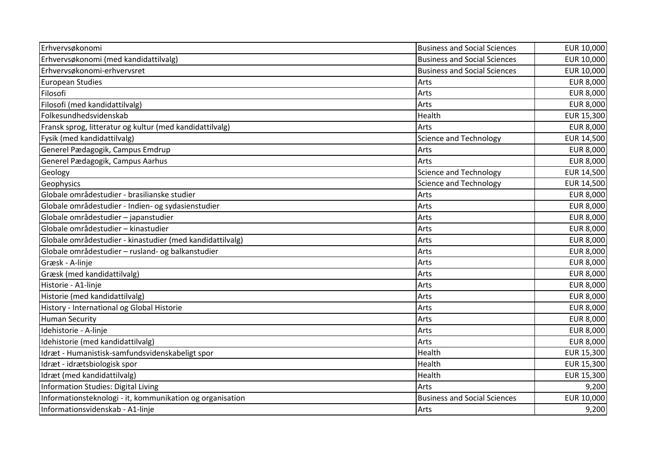| Erhvervsøkonomi                                           | <b>Business and Social Sciences</b> | EUR 10,000       |
|-----------------------------------------------------------|-------------------------------------|------------------|
| Erhvervsøkonomi (med kandidattilvalg)                     | <b>Business and Social Sciences</b> | EUR 10,000       |
| Erhvervsøkonomi-erhvervsret                               | <b>Business and Social Sciences</b> | EUR 10,000       |
| European Studies                                          | Arts                                | <b>EUR 8,000</b> |
| Filosofi                                                  | Arts                                | <b>EUR 8,000</b> |
| Filosofi (med kandidattilvalg)                            | Arts                                | <b>EUR 8,000</b> |
| Folkesundhedsvidenskab                                    | Health                              | EUR 15,300       |
| Fransk sprog, litteratur og kultur (med kandidattilvalg)  | Arts                                | <b>EUR 8,000</b> |
| Fysik (med kandidattilvalg)                               | <b>Science and Technology</b>       | EUR 14,500       |
| Generel Pædagogik, Campus Emdrup                          | Arts                                | <b>EUR 8,000</b> |
| Generel Pædagogik, Campus Aarhus                          | Arts                                | <b>EUR 8,000</b> |
| Geology                                                   | <b>Science and Technology</b>       | EUR 14,500       |
| Geophysics                                                | <b>Science and Technology</b>       | EUR 14,500       |
| Globale områdestudier - brasilianske studier              | Arts                                | <b>EUR 8,000</b> |
| Globale områdestudier - Indien- og sydasienstudier        | Arts                                | <b>EUR 8,000</b> |
| Globale områdestudier - japanstudier                      | Arts                                | <b>EUR 8,000</b> |
| Globale områdestudier - kinastudier                       | Arts                                | <b>EUR 8,000</b> |
| Globale områdestudier - kinastudier (med kandidattilvalg) | Arts                                | <b>EUR 8,000</b> |
| Globale områdestudier - rusland- og balkanstudier         | Arts                                | <b>EUR 8,000</b> |
| Græsk - A-linje                                           | Arts                                | EUR 8,000        |
| Græsk (med kandidattilvalg)                               | Arts                                | <b>EUR 8,000</b> |
| Historie - A1-linje                                       | Arts                                | <b>EUR 8,000</b> |
| Historie (med kandidattilvalg)                            | Arts                                | <b>EUR 8,000</b> |
| History - International og Global Historie                | Arts                                | <b>EUR 8,000</b> |
| <b>Human Security</b>                                     | Arts                                | <b>EUR 8,000</b> |
| Idehistorie - A-linje                                     | Arts                                | <b>EUR 8,000</b> |
| Idehistorie (med kandidattilvalg)                         | Arts                                | EUR 8,000        |
| Idræt - Humanistisk-samfundsvidenskabeligt spor           | Health                              | EUR 15,300       |
| Idræt - idrætsbiologisk spor                              | Health                              | EUR 15,300       |
| Idræt (med kandidattilvalg)                               | Health                              | EUR 15,300       |
| Information Studies: Digital Living                       | Arts                                | 9,200            |
| Informationsteknologi - it, kommunikation og organisation | <b>Business and Social Sciences</b> | EUR 10,000       |
| Informationsvidenskab - A1-linje                          | Arts                                | 9,200            |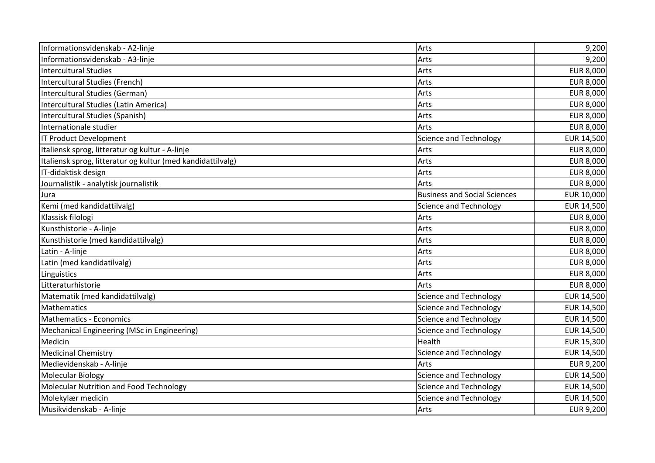| Informationsvidenskab - A2-linje                            | Arts                                | 9,200            |
|-------------------------------------------------------------|-------------------------------------|------------------|
| Informationsvidenskab - A3-linje                            | Arts                                | 9,200            |
| <b>Intercultural Studies</b>                                | Arts                                | <b>EUR 8,000</b> |
| Intercultural Studies (French)                              | Arts                                | EUR 8,000        |
| Intercultural Studies (German)                              | Arts                                | <b>EUR 8,000</b> |
| Intercultural Studies (Latin America)                       | Arts                                | <b>EUR 8,000</b> |
| Intercultural Studies (Spanish)                             | Arts                                | <b>EUR 8,000</b> |
| Internationale studier                                      | Arts                                | <b>EUR 8,000</b> |
| <b>IT Product Development</b>                               | <b>Science and Technology</b>       | EUR 14,500       |
| Italiensk sprog, litteratur og kultur - A-linje             | Arts                                | <b>EUR 8,000</b> |
| Italiensk sprog, litteratur og kultur (med kandidattilvalg) | Arts                                | <b>EUR 8,000</b> |
| IT-didaktisk design                                         | Arts                                | <b>EUR 8,000</b> |
| Journalistik - analytisk journalistik                       | Arts                                | <b>EUR 8,000</b> |
| Jura                                                        | <b>Business and Social Sciences</b> | EUR 10,000       |
| Kemi (med kandidattilvalg)                                  | <b>Science and Technology</b>       | EUR 14,500       |
| Klassisk filologi                                           | Arts                                | <b>EUR 8,000</b> |
| Kunsthistorie - A-linje                                     | Arts                                | <b>EUR 8,000</b> |
| Kunsthistorie (med kandidattilvalg)                         | Arts                                | <b>EUR 8,000</b> |
| Latin - A-linje                                             | Arts                                | <b>EUR 8,000</b> |
| Latin (med kandidatilvalg)                                  | Arts                                | <b>EUR 8,000</b> |
| Linguistics                                                 | Arts                                | <b>EUR 8,000</b> |
| Litteraturhistorie                                          | Arts                                | <b>EUR 8,000</b> |
| Matematik (med kandidattilvalg)                             | <b>Science and Technology</b>       | EUR 14,500       |
| Mathematics                                                 | <b>Science and Technology</b>       | EUR 14,500       |
| <b>Mathematics - Economics</b>                              | <b>Science and Technology</b>       | EUR 14,500       |
| Mechanical Engineering (MSc in Engineering)                 | <b>Science and Technology</b>       | EUR 14,500       |
| Medicin                                                     | Health                              | EUR 15,300       |
| <b>Medicinal Chemistry</b>                                  | <b>Science and Technology</b>       | EUR 14,500       |
| Medievidenskab - A-linje                                    | Arts                                | EUR 9,200        |
| <b>Molecular Biology</b>                                    | <b>Science and Technology</b>       | EUR 14,500       |
| Molecular Nutrition and Food Technology                     | <b>Science and Technology</b>       | EUR 14,500       |
| Molekylær medicin                                           | Science and Technology              | EUR 14,500       |
| Musikvidenskab - A-linje                                    | Arts                                | EUR 9,200        |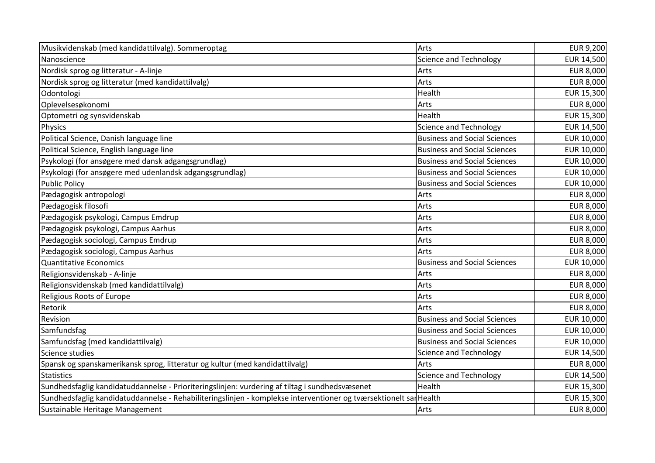| Musikvidenskab (med kandidattilvalg). Sommeroptag                                                                 | Arts                                | EUR 9,200        |
|-------------------------------------------------------------------------------------------------------------------|-------------------------------------|------------------|
| Nanoscience                                                                                                       | <b>Science and Technology</b>       | EUR 14,500       |
| Nordisk sprog og litteratur - A-linje                                                                             | Arts                                | EUR 8,000        |
| Nordisk sprog og litteratur (med kandidattilvalg)                                                                 | Arts                                | <b>EUR 8,000</b> |
| Odontologi                                                                                                        | Health                              | EUR 15,300       |
| Oplevelsesøkonomi                                                                                                 | Arts                                | <b>EUR 8,000</b> |
| Optometri og synsvidenskab                                                                                        | Health                              | EUR 15,300       |
| Physics                                                                                                           | <b>Science and Technology</b>       | EUR 14,500       |
| Political Science, Danish language line                                                                           | <b>Business and Social Sciences</b> | EUR 10,000       |
| Political Science, English language line                                                                          | <b>Business and Social Sciences</b> | EUR 10,000       |
| Psykologi (for ansøgere med dansk adgangsgrundlag)                                                                | <b>Business and Social Sciences</b> | EUR 10,000       |
| Psykologi (for ansøgere med udenlandsk adgangsgrundlag)                                                           | <b>Business and Social Sciences</b> | EUR 10,000       |
| <b>Public Policy</b>                                                                                              | <b>Business and Social Sciences</b> | EUR 10,000       |
| Pædagogisk antropologi                                                                                            | Arts                                | <b>EUR 8,000</b> |
| Pædagogisk filosofi                                                                                               | Arts                                | <b>EUR 8,000</b> |
| Pædagogisk psykologi, Campus Emdrup                                                                               | Arts                                | <b>EUR 8,000</b> |
| Pædagogisk psykologi, Campus Aarhus                                                                               | Arts                                | <b>EUR 8,000</b> |
| Pædagogisk sociologi, Campus Emdrup                                                                               | Arts                                | <b>EUR 8,000</b> |
| Pædagogisk sociologi, Campus Aarhus                                                                               | Arts                                | <b>EUR 8,000</b> |
| <b>Quantitative Economics</b>                                                                                     | <b>Business and Social Sciences</b> | EUR 10,000       |
| Religionsvidenskab - A-linje                                                                                      | Arts                                | <b>EUR 8,000</b> |
| Religionsvidenskab (med kandidattilvalg)                                                                          | Arts                                | <b>EUR 8,000</b> |
| <b>Religious Roots of Europe</b>                                                                                  | Arts                                | <b>EUR 8,000</b> |
| Retorik                                                                                                           | Arts                                | <b>EUR 8,000</b> |
| Revision                                                                                                          | <b>Business and Social Sciences</b> | EUR 10,000       |
| Samfundsfag                                                                                                       | <b>Business and Social Sciences</b> | EUR 10,000       |
| Samfundsfag (med kandidattilvalg)                                                                                 | <b>Business and Social Sciences</b> | EUR 10,000       |
| Science studies                                                                                                   | <b>Science and Technology</b>       | EUR 14,500       |
| Spansk og spanskamerikansk sprog, litteratur og kultur (med kandidattilvalg)                                      | Arts                                | <b>EUR 8,000</b> |
| <b>Statistics</b>                                                                                                 | <b>Science and Technology</b>       | EUR 14,500       |
| Sundhedsfaglig kandidatuddannelse - Prioriteringslinjen: vurdering af tiltag i sundhedsvæsenet                    | Health                              | EUR 15,300       |
| Sundhedsfaglig kandidatuddannelse - Rehabiliteringslinjen - komplekse interventioner og tværsektionelt sar Health |                                     | EUR 15,300       |
| Sustainable Heritage Management                                                                                   | Arts                                | <b>EUR 8,000</b> |